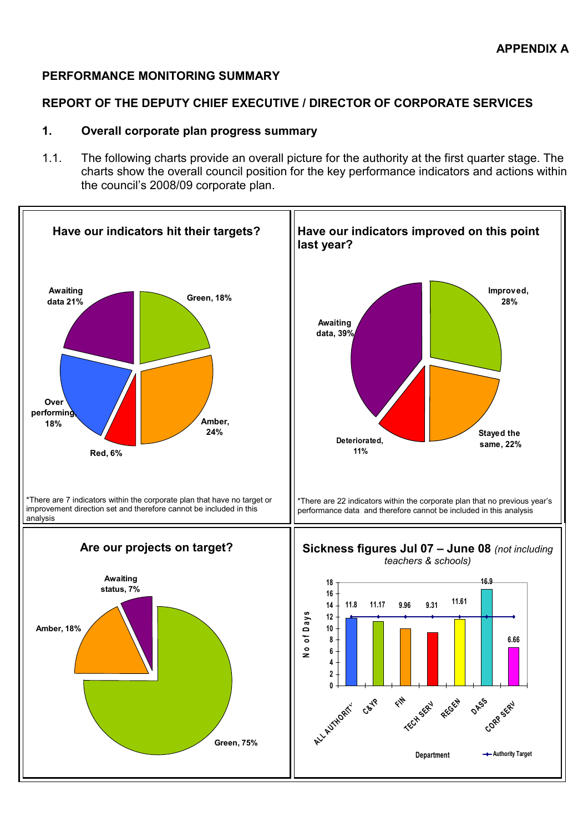## PERFORMANCE MONITORING SUMMARY

#### REPORT OF THE DEPUTY CHIEF EXECUTIVE / DIRECTOR OF CORPORATE SERVICES

#### 1. Overall corporate plan progress summary

1.1. The following charts provide an overall picture for the authority at the first quarter stage. The charts show the overall council position for the key performance indicators and actions within the council's 2008/09 corporate plan.

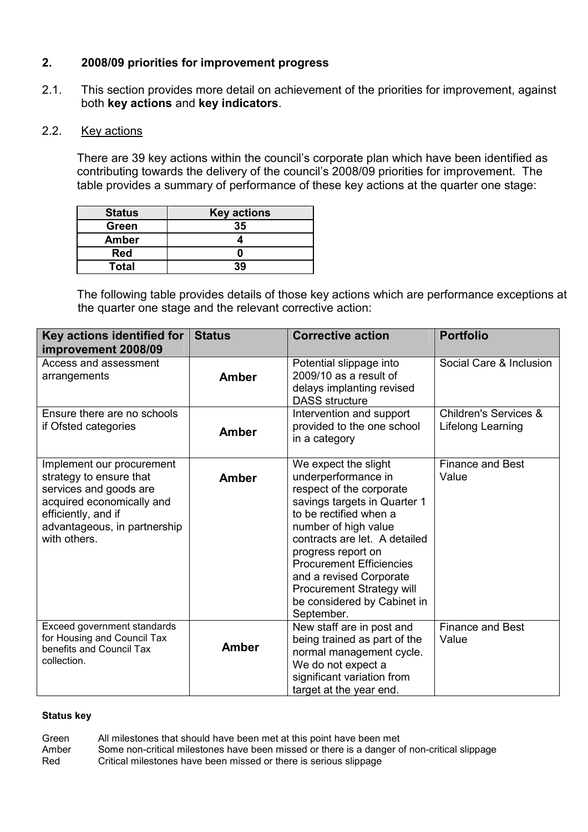# 2. 2008/09 priorities for improvement progress

2.1. This section provides more detail on achievement of the priorities for improvement, against both key actions and key indicators.

# 2.2. Key actions

There are 39 key actions within the council's corporate plan which have been identified as contributing towards the delivery of the council's 2008/09 priorities for improvement. The table provides a summary of performance of these key actions at the quarter one stage:

| <b>Status</b> | <b>Key actions</b> |
|---------------|--------------------|
| Green         | 35                 |
| <b>Amber</b>  |                    |
| <b>Red</b>    |                    |
| <b>Total</b>  | 39                 |

The following table provides details of those key actions which are performance exceptions at the quarter one stage and the relevant corrective action:

| Key actions identified for<br>improvement 2008/09                                                                                                                                  | <b>Status</b> | <b>Corrective action</b>                                                                                                                                                                                                                                                                                                                                 | <b>Portfolio</b>                                      |
|------------------------------------------------------------------------------------------------------------------------------------------------------------------------------------|---------------|----------------------------------------------------------------------------------------------------------------------------------------------------------------------------------------------------------------------------------------------------------------------------------------------------------------------------------------------------------|-------------------------------------------------------|
| Access and assessment<br>arrangements                                                                                                                                              | Amber         | Potential slippage into<br>2009/10 as a result of<br>delays implanting revised<br><b>DASS</b> structure                                                                                                                                                                                                                                                  | Social Care & Inclusion                               |
| Ensure there are no schools<br>if Ofsted categories                                                                                                                                | <b>Amber</b>  | Intervention and support<br>provided to the one school<br>in a category                                                                                                                                                                                                                                                                                  | <b>Children's Services &amp;</b><br>Lifelong Learning |
| Implement our procurement<br>strategy to ensure that<br>services and goods are<br>acquired economically and<br>efficiently, and if<br>advantageous, in partnership<br>with others. | <b>Amber</b>  | We expect the slight<br>underperformance in<br>respect of the corporate<br>savings targets in Quarter 1<br>to be rectified when a<br>number of high value<br>contracts are let. A detailed<br>progress report on<br><b>Procurement Efficiencies</b><br>and a revised Corporate<br>Procurement Strategy will<br>be considered by Cabinet in<br>September. | <b>Finance and Best</b><br>Value                      |
| Exceed government standards<br>for Housing and Council Tax<br>benefits and Council Tax<br>collection.                                                                              | <b>Amber</b>  | New staff are in post and<br>being trained as part of the<br>normal management cycle.<br>We do not expect a<br>significant variation from<br>target at the year end.                                                                                                                                                                                     | <b>Finance and Best</b><br>Value                      |

#### Status key

Green All milestones that should have been met at this point have been met Amber Some non-critical milestones have been missed or there is a danger of non-critical slippage<br>Red Critical milestones have been missed or there is serious slippage Critical milestones have been missed or there is serious slippage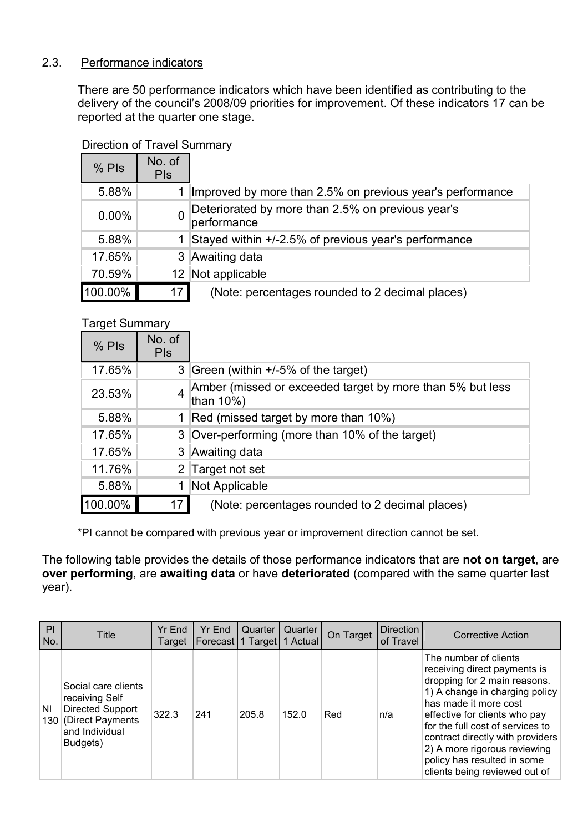# 2.3. Performance indicators

There are 50 performance indicators which have been identified as contributing to the delivery of the council's 2008/09 priorities for improvement. Of these indicators 17 can be reported at the quarter one stage.

| $%$ Pls  | No. of<br><b>PIS</b> |                                                                  |
|----------|----------------------|------------------------------------------------------------------|
| 5.88%    |                      | Improved by more than 2.5% on previous year's performance        |
| $0.00\%$ |                      | Deteriorated by more than 2.5% on previous year's<br>performance |
| 5.88%    |                      | Stayed within +/-2.5% of previous year's performance             |
| 17.65%   |                      | 3 Awaiting data                                                  |
| 70.59%   |                      | 12 Not applicable                                                |
| 100.00%  | 17 I                 | (Note: percentages rounded to 2 decimal places)                  |

# Direction of Travel Summary

## Target Summary

| $%$ Pls | No. of<br><b>PIS</b> |                                                                        |
|---------|----------------------|------------------------------------------------------------------------|
| 17.65%  |                      | 3 Green (within +/-5% of the target)                                   |
| 23.53%  | 4                    | Amber (missed or exceeded target by more than 5% but less<br>than 10%) |
| 5.88%   |                      | Red (missed target by more than 10%)                                   |
| 17.65%  |                      | 3 Over-performing (more than 10% of the target)                        |
| 17.65%  |                      | 3 Awaiting data                                                        |
| 11.76%  |                      | 2 Target not set                                                       |
| 5.88%   |                      | Not Applicable                                                         |
| 100.00% | 17 <sup>1</sup>      | (Note: percentages rounded to 2 decimal places)                        |

\*PI cannot be compared with previous year or improvement direction cannot be set.

The following table provides the details of those performance indicators that are not on target, are over performing, are awaiting data or have deteriorated (compared with the same quarter last year).

| PI<br>No. | Title                                                                                                           | Yr End<br>Target | Yr End | Quarter<br>Forecast 1 Target 1 Actual | Quarter | On Target | Direction<br>of Travel | <b>Corrective Action</b>                                                                                                                                                                                                                                                                                                                                  |
|-----------|-----------------------------------------------------------------------------------------------------------------|------------------|--------|---------------------------------------|---------|-----------|------------------------|-----------------------------------------------------------------------------------------------------------------------------------------------------------------------------------------------------------------------------------------------------------------------------------------------------------------------------------------------------------|
| ΝI        | Social care clients<br>receiving Self<br>Directed Support<br>130 (Direct Payments<br>and Individual<br>Budgets) | 322.3            | 241    | 205.8                                 | 152.0   | Red       | n/a                    | The number of clients<br>receiving direct payments is<br>dropping for 2 main reasons.<br>1) A change in charging policy<br>has made it more cost<br>effective for clients who pay<br>for the full cost of services to<br>contract directly with providers<br>2) A more rigorous reviewing<br>policy has resulted in some<br>clients being reviewed out of |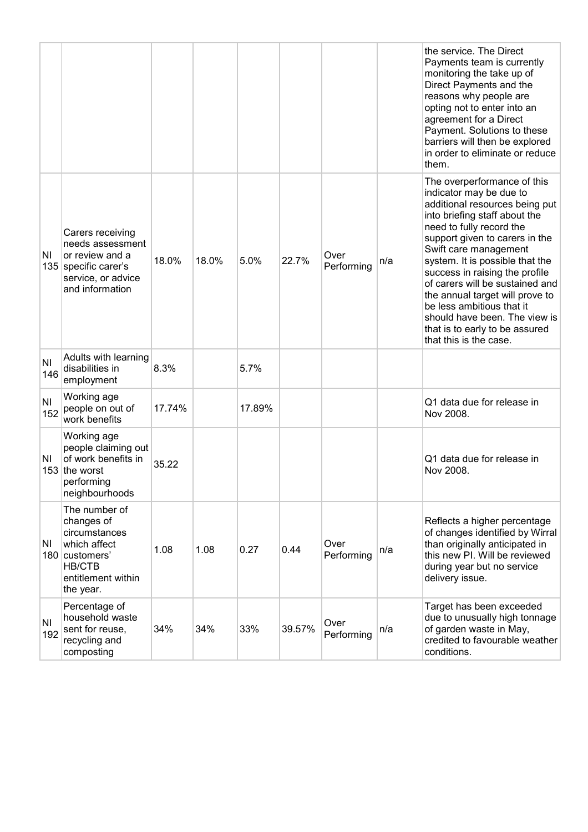|                       |                                                                                                                                    |        |       |        |        |                    |     | the service. The Direct<br>Payments team is currently<br>monitoring the take up of<br>Direct Payments and the<br>reasons why people are<br>opting not to enter into an<br>agreement for a Direct<br>Payment. Solutions to these<br>barriers will then be explored<br>in order to eliminate or reduce<br>them.                                                                                                                                                                         |
|-----------------------|------------------------------------------------------------------------------------------------------------------------------------|--------|-------|--------|--------|--------------------|-----|---------------------------------------------------------------------------------------------------------------------------------------------------------------------------------------------------------------------------------------------------------------------------------------------------------------------------------------------------------------------------------------------------------------------------------------------------------------------------------------|
| ΝI                    | Carers receiving<br>needs assessment<br>or review and a<br>135 specific carer's<br>service, or advice<br>and information           | 18.0%  | 18.0% | 5.0%   | 22.7%  | Over<br>Performing | n/a | The overperformance of this<br>indicator may be due to<br>additional resources being put<br>into briefing staff about the<br>need to fully record the<br>support given to carers in the<br>Swift care management<br>system. It is possible that the<br>success in raising the profile<br>of carers will be sustained and<br>the annual target will prove to<br>be less ambitious that it<br>should have been. The view is<br>that is to early to be assured<br>that this is the case. |
| N <sub>1</sub><br>146 | Adults with learning<br>disabilities in<br>employment                                                                              | 8.3%   |       | 5.7%   |        |                    |     |                                                                                                                                                                                                                                                                                                                                                                                                                                                                                       |
| N <sub>1</sub><br>152 | Working age<br>people on out of<br>work benefits                                                                                   | 17.74% |       | 17.89% |        |                    |     | Q1 data due for release in<br>Nov 2008.                                                                                                                                                                                                                                                                                                                                                                                                                                               |
| ΝI<br>153             | Working age<br>people claiming out<br>of work benefits in<br>the worst<br>performing<br>neighbourhoods                             | 35.22  |       |        |        |                    |     | Q1 data due for release in<br>Nov 2008.                                                                                                                                                                                                                                                                                                                                                                                                                                               |
| ΝI                    | The number of<br>changes of<br>circumstances<br>which affect<br>180 customers'<br><b>HB/CTB</b><br>entitlement within<br>the year. | 1.08   | 1.08  | 0.27   | 0.44   | Over<br>Performing | n/a | Reflects a higher percentage<br>of changes identified by Wirral<br>than originally anticipated in<br>this new PI. Will be reviewed<br>during year but no service<br>delivery issue.                                                                                                                                                                                                                                                                                                   |
| N <sub>1</sub><br>192 | Percentage of<br>household waste<br>sent for reuse,<br>recycling and<br>composting                                                 | 34%    | 34%   | 33%    | 39.57% | Over<br>Performing | n/a | Target has been exceeded<br>due to unusually high tonnage<br>of garden waste in May,<br>credited to favourable weather<br>conditions.                                                                                                                                                                                                                                                                                                                                                 |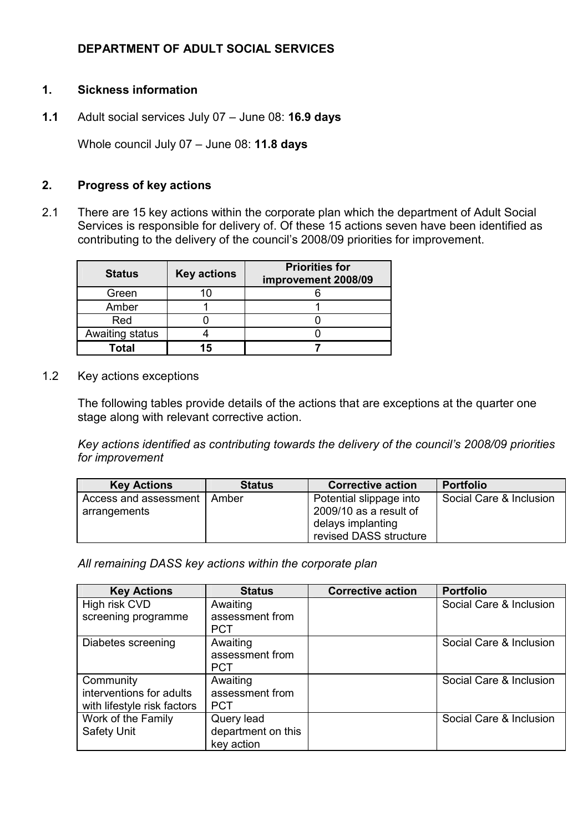# DEPARTMENT OF ADULT SOCIAL SERVICES

## 1. Sickness information

1.1 Adult social services July 07 – June 08: 16.9 days

Whole council July 07 - June 08: 11.8 days

## 2. Progress of key actions

2.1 There are 15 key actions within the corporate plan which the department of Adult Social Services is responsible for delivery of. Of these 15 actions seven have been identified as contributing to the delivery of the council's 2008/09 priorities for improvement.

| <b>Status</b>   | <b>Key actions</b> | <b>Priorities for</b><br>improvement 2008/09 |
|-----------------|--------------------|----------------------------------------------|
| Green           | 10                 |                                              |
| Amber           |                    |                                              |
| Red             |                    |                                              |
| Awaiting status |                    |                                              |
| Total           | 15                 |                                              |

1.2 Key actions exceptions

The following tables provide details of the actions that are exceptions at the quarter one stage along with relevant corrective action.

Key actions identified as contributing towards the delivery of the council's 2008/09 priorities for improvement

| <b>Key Actions</b>    | <b>Status</b> | <b>Corrective action</b> | <b>Portfolio</b>        |
|-----------------------|---------------|--------------------------|-------------------------|
| Access and assessment | Amber         | Potential slippage into  | Social Care & Inclusion |
| arrangements          |               | 2009/10 as a result of   |                         |
|                       |               | delays implanting        |                         |
|                       |               | revised DASS structure   |                         |

All remaining DASS key actions within the corporate plan

| <b>Key Actions</b>          | <b>Status</b>      | <b>Corrective action</b> | <b>Portfolio</b>        |
|-----------------------------|--------------------|--------------------------|-------------------------|
| High risk CVD               | Awaiting           |                          | Social Care & Inclusion |
| screening programme         | assessment from    |                          |                         |
|                             | <b>PCT</b>         |                          |                         |
| Diabetes screening          | Awaiting           |                          | Social Care & Inclusion |
|                             | assessment from    |                          |                         |
|                             | <b>PCT</b>         |                          |                         |
| Community                   | Awaiting           |                          | Social Care & Inclusion |
| interventions for adults    | assessment from    |                          |                         |
| with lifestyle risk factors | <b>PCT</b>         |                          |                         |
| Work of the Family          | Query lead         |                          | Social Care & Inclusion |
| Safety Unit                 | department on this |                          |                         |
|                             | key action         |                          |                         |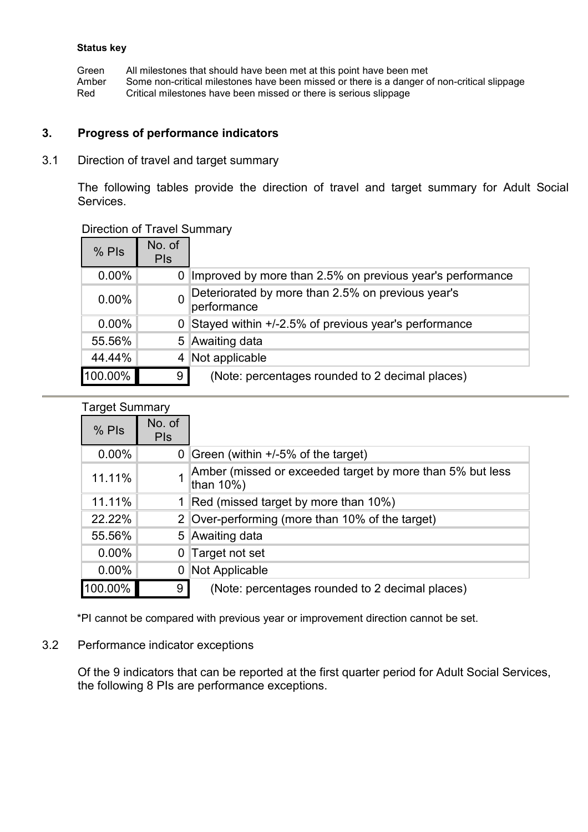Green All milestones that should have been met at this point have been met<br>Amber Some non-critical milestones have been missed or there is a danger of Amber Some non-critical milestones have been missed or there is a danger of non-critical slippage<br>Red Critical milestones have been missed or there is serious slippage Critical milestones have been missed or there is serious slippage

#### 3. Progress of performance indicators

3.1 Direction of travel and target summary

 The following tables provide the direction of travel and target summary for Adult Social Services.

#### Direction of Travel Summary

| $%$ Pls  | No. of<br><b>PIs</b> |                                                                  |
|----------|----------------------|------------------------------------------------------------------|
| $0.00\%$ | 0                    | Improved by more than 2.5% on previous year's performance        |
| $0.00\%$ | 0                    | Deteriorated by more than 2.5% on previous year's<br>performance |
| $0.00\%$ | 0                    | Stayed within +/-2.5% of previous year's performance             |
| 55.56%   |                      | 5 Awaiting data                                                  |
| 44.44%   | 4                    | Not applicable                                                   |
| 100.00%  | 9                    | (Note: percentages rounded to 2 decimal places)                  |

| <b>Target Summary</b> |                      |                                                                        |
|-----------------------|----------------------|------------------------------------------------------------------------|
| $%$ Pls               | No. of<br><b>PIS</b> |                                                                        |
| $0.00\%$              | 0 <sup>1</sup>       | Green (within +/-5% of the target)                                     |
| 11.11%                |                      | Amber (missed or exceeded target by more than 5% but less<br>than 10%) |
| 11.11%                |                      | 1 Red (missed target by more than 10%)                                 |
| 22.22%                |                      | 2 Over-performing (more than 10% of the target)                        |
| 55.56%                |                      | 5 Awaiting data                                                        |
| $0.00\%$              | $\overline{0}$       | Target not set                                                         |
| $0.00\%$              |                      | Not Applicable                                                         |
| 100.00%               | 9                    | (Note: percentages rounded to 2 decimal places)                        |

\*PI cannot be compared with previous year or improvement direction cannot be set.

#### 3.2 Performance indicator exceptions

Of the 9 indicators that can be reported at the first quarter period for Adult Social Services, the following 8 PIs are performance exceptions.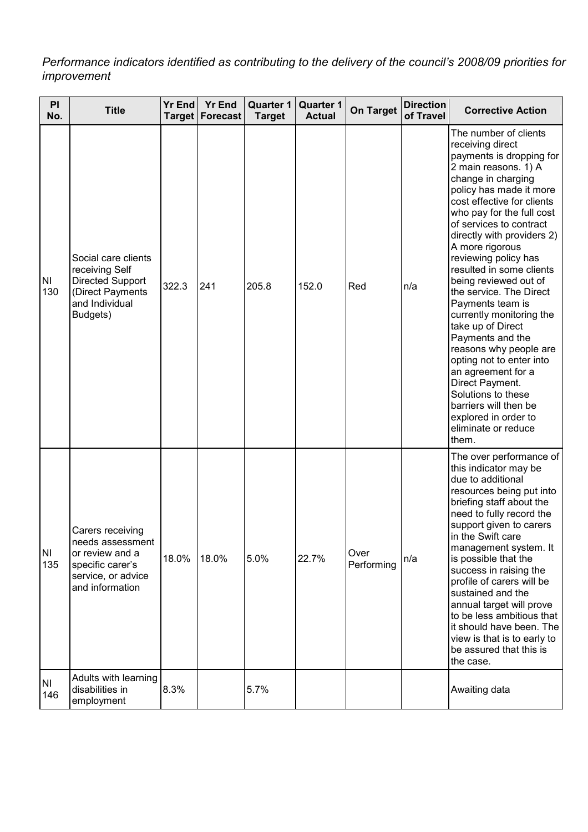Performance indicators identified as contributing to the delivery of the council's 2008/09 priorities for improvement

| PI<br>No.        | <b>Title</b>                                                                                                         | <b>Yr End</b><br><b>Target</b> | <b>Yr End</b><br>Forecast | <b>Quarter 1</b><br><b>Target</b> | <b>Quarter 1</b><br><b>Actual</b> | <b>On Target</b>   | <b>Direction</b><br>of Travel | <b>Corrective Action</b>                                                                                                                                                                                                                                                                                                                                                                                                                                                                                                                                                                                                                                                                     |
|------------------|----------------------------------------------------------------------------------------------------------------------|--------------------------------|---------------------------|-----------------------------------|-----------------------------------|--------------------|-------------------------------|----------------------------------------------------------------------------------------------------------------------------------------------------------------------------------------------------------------------------------------------------------------------------------------------------------------------------------------------------------------------------------------------------------------------------------------------------------------------------------------------------------------------------------------------------------------------------------------------------------------------------------------------------------------------------------------------|
| <b>NI</b><br>130 | Social care clients<br>receiving Self<br>Directed Support<br>(Direct Payments<br>and Individual<br>Budgets)          | 322.3                          | 241                       | 205.8                             | 152.0                             | Red                | n/a                           | The number of clients<br>receiving direct<br>payments is dropping for<br>2 main reasons. 1) A<br>change in charging<br>policy has made it more<br>cost effective for clients<br>who pay for the full cost<br>of services to contract<br>directly with providers 2)<br>A more rigorous<br>reviewing policy has<br>resulted in some clients<br>being reviewed out of<br>the service. The Direct<br>Payments team is<br>currently monitoring the<br>take up of Direct<br>Payments and the<br>reasons why people are<br>opting not to enter into<br>an agreement for a<br>Direct Payment.<br>Solutions to these<br>barriers will then be<br>explored in order to<br>eliminate or reduce<br>them. |
| <b>NI</b><br>135 | Carers receiving<br>needs assessment<br>or review and a<br>specific carer's<br>service, or advice<br>and information | 18.0%                          | 18.0%                     | 5.0%                              | 22.7%                             | Over<br>Performing | n/a                           | The over performance of<br>this indicator may be<br>due to additional<br>resources being put into<br>briefing staff about the<br>need to fully record the<br>support given to carers<br>in the Swift care<br>management system. It<br>is possible that the<br>success in raising the<br>profile of carers will be<br>sustained and the<br>annual target will prove<br>to be less ambitious that<br>it should have been. The<br>view is that is to early to<br>be assured that this is<br>the case.                                                                                                                                                                                           |
| NI<br>146        | Adults with learning<br>disabilities in<br>employment                                                                | 8.3%                           |                           | 5.7%                              |                                   |                    |                               | Awaiting data                                                                                                                                                                                                                                                                                                                                                                                                                                                                                                                                                                                                                                                                                |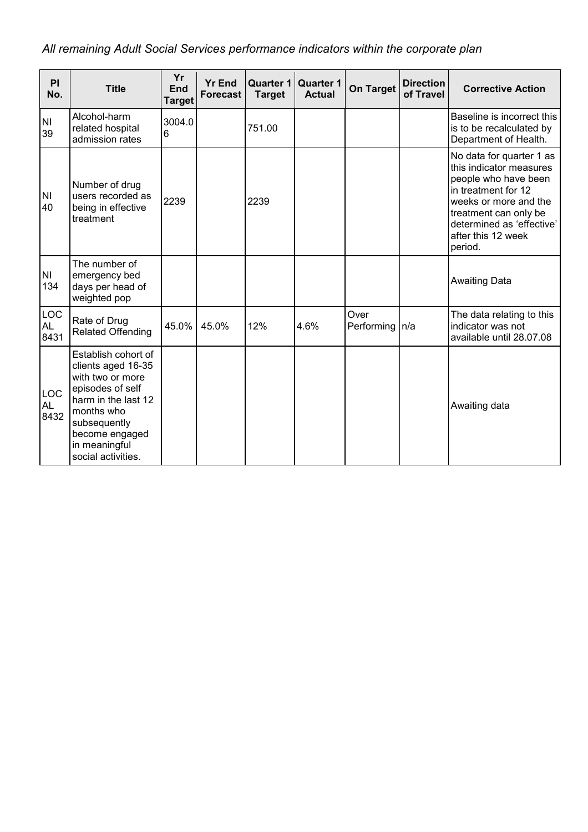# All remaining Adult Social Services performance indicators within the corporate plan

| PI<br>No.                       | <b>Title</b>                                                                                                                                                                                    | Yr<br><b>End</b><br><b>Target</b> | <b>Yr End</b><br><b>Forecast</b> | <b>Quarter 1</b><br><b>Target</b> | <b>Quarter 1</b><br><b>Actual</b> | <b>On Target</b>   | <b>Direction</b><br>of Travel | <b>Corrective Action</b>                                                                                                                                                                                           |
|---------------------------------|-------------------------------------------------------------------------------------------------------------------------------------------------------------------------------------------------|-----------------------------------|----------------------------------|-----------------------------------|-----------------------------------|--------------------|-------------------------------|--------------------------------------------------------------------------------------------------------------------------------------------------------------------------------------------------------------------|
| N <sub>l</sub><br>39            | Alcohol-harm<br>related hospital<br>admission rates                                                                                                                                             | 3004.0<br>6                       |                                  | 751.00                            |                                   |                    |                               | Baseline is incorrect this<br>is to be recalculated by<br>Department of Health.                                                                                                                                    |
| <b>NI</b><br>40                 | Number of drug<br>users recorded as<br>being in effective<br>treatment                                                                                                                          | 2239                              |                                  | 2239                              |                                   |                    |                               | No data for quarter 1 as<br>this indicator measures<br>people who have been<br>in treatment for 12<br>weeks or more and the<br>treatment can only be<br>determined as 'effective'<br>after this 12 week<br>period. |
| N <sub>l</sub><br>134           | The number of<br>emergency bed<br>days per head of<br>weighted pop                                                                                                                              |                                   |                                  |                                   |                                   |                    |                               | <b>Awaiting Data</b>                                                                                                                                                                                               |
| <b>LOC</b><br>AL<br>8431        | Rate of Drug<br><b>Related Offending</b>                                                                                                                                                        | 45.0%                             | 45.0%                            | 12%                               | 4.6%                              | Over<br>Performing | n/a                           | The data relating to this<br>indicator was not<br>available until 28.07.08                                                                                                                                         |
| <b>LOC</b><br><b>AL</b><br>8432 | Establish cohort of<br>clients aged 16-35<br>with two or more<br>episodes of self<br>harm in the last 12<br>months who<br>subsequently<br>become engaged<br>in meaningful<br>social activities. |                                   |                                  |                                   |                                   |                    |                               | Awaiting data                                                                                                                                                                                                      |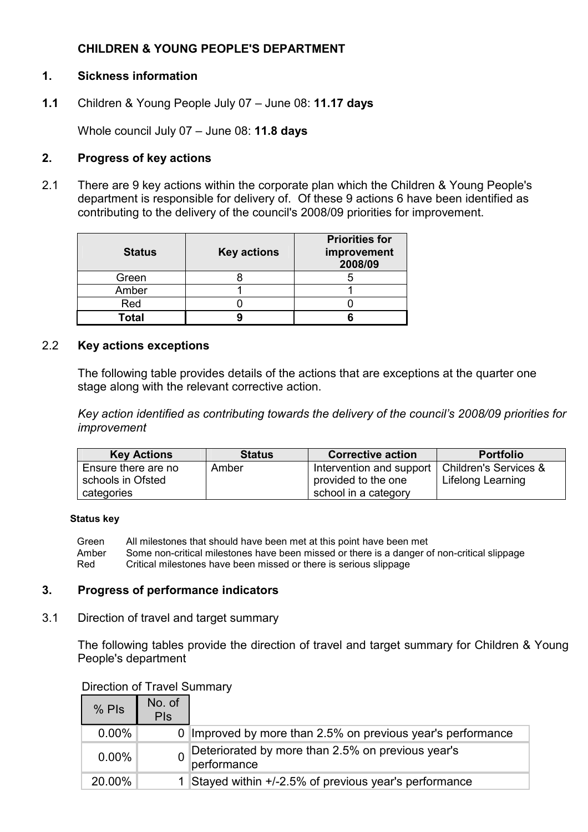# CHILDREN & YOUNG PEOPLE'S DEPARTMENT

## 1. Sickness information

1.1 Children & Young People July 07 – June 08: 11.17 days

Whole council July 07 - June 08: 11.8 days

## 2. Progress of key actions

2.1 There are 9 key actions within the corporate plan which the Children & Young People's department is responsible for delivery of. Of these 9 actions 6 have been identified as contributing to the delivery of the council's 2008/09 priorities for improvement.

| <b>Status</b> | <b>Key actions</b> | <b>Priorities for</b><br>improvement<br>2008/09 |
|---------------|--------------------|-------------------------------------------------|
| Green         |                    |                                                 |
| Amber         |                    |                                                 |
| Red           |                    |                                                 |
| Гоtal         |                    |                                                 |

## 2.2 Key actions exceptions

 The following table provides details of the actions that are exceptions at the quarter one stage along with the relevant corrective action.

Key action identified as contributing towards the delivery of the council's 2008/09 priorities for improvement

| <b>Key Actions</b>  | <b>Status</b> | <b>Corrective action</b>                         | <b>Portfolio</b>  |
|---------------------|---------------|--------------------------------------------------|-------------------|
| Ensure there are no | Amber         | Intervention and support   Children's Services & |                   |
| schools in Ofsted   |               | provided to the one                              | Lifelong Learning |
| categories          |               | school in a category                             |                   |

#### Status key

 Green All milestones that should have been met at this point have been met Amber Some non-critical milestones have been missed or there is a danger of non-critical slippage Red Critical milestones have been missed or there is serious slippage

#### 3. Progress of performance indicators

3.1 Direction of travel and target summary

 The following tables provide the direction of travel and target summary for Children & Young People's department

#### Direction of Travel Summary

| $%$ Pls  | No. of<br><b>PIs</b> |                                                                  |
|----------|----------------------|------------------------------------------------------------------|
| $0.00\%$ | 0 <sup>1</sup>       | Improved by more than 2.5% on previous year's performance        |
| $0.00\%$ |                      | Deteriorated by more than 2.5% on previous year's<br>performance |
| 20.00%   |                      | Stayed within +/-2.5% of previous year's performance             |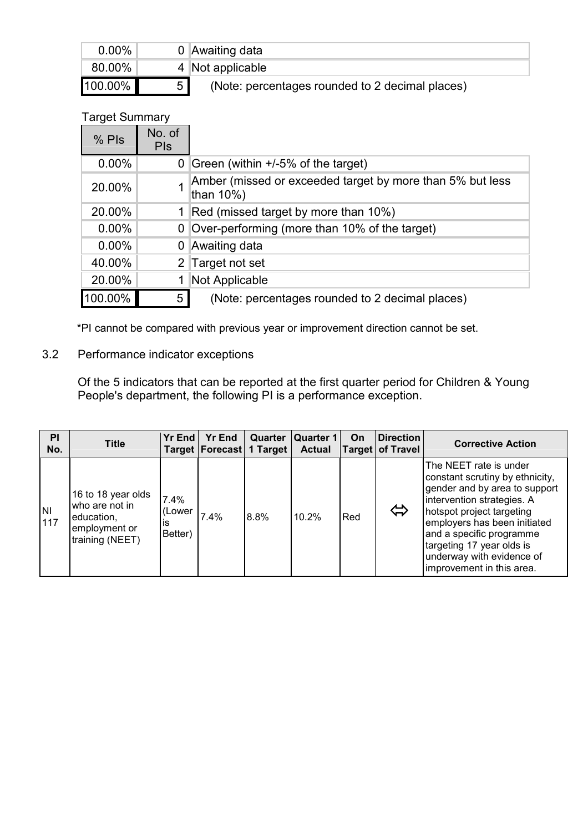| $0.00\%$ |   | 0 Awaiting data                                 |
|----------|---|-------------------------------------------------|
| 80.00%   |   | 4 Not applicable                                |
| 100.00%  | 5 | (Note: percentages rounded to 2 decimal places) |

# Target Summary

| $%$ Pls  | No. of<br><b>PIS</b> |                                                                        |
|----------|----------------------|------------------------------------------------------------------------|
| $0.00\%$ |                      | 0 Green (within $+/-5\%$ of the target)                                |
| 20.00%   |                      | Amber (missed or exceeded target by more than 5% but less<br>than 10%) |
| 20.00%   |                      | Red (missed target by more than 10%)                                   |
| $0.00\%$ | 0                    | Over-performing (more than 10% of the target)                          |
| $0.00\%$ |                      | 0 Awaiting data                                                        |
| 40.00%   |                      | 2 Target not set                                                       |
| 20.00%   |                      | Not Applicable                                                         |
| 100.00%  | 5                    | (Note: percentages rounded to 2 decimal places)                        |

\*PI cannot be compared with previous year or improvement direction cannot be set.

# 3.2 Performance indicator exceptions

Of the 5 indicators that can be reported at the first quarter period for Children & Young People's department, the following PI is a performance exception.

| PI<br>No.        | <b>Title</b>                                                                           | <b>Yr End</b>                    | <b>Yr End</b><br>Target   Forecast   1 Target |      | Quarter   Quarter 1  <br><b>Actual</b> | On  | <b>Direction</b><br><b>Target of Travel</b> | <b>Corrective Action</b>                                                                                                                                                                                                                                                                                 |
|------------------|----------------------------------------------------------------------------------------|----------------------------------|-----------------------------------------------|------|----------------------------------------|-----|---------------------------------------------|----------------------------------------------------------------------------------------------------------------------------------------------------------------------------------------------------------------------------------------------------------------------------------------------------------|
| <b>NI</b><br>117 | 16 to 18 year olds<br>who are not in<br>education,<br>employment or<br>training (NEET) | 7.4%<br>(Lower)<br>İS<br>Better) | 7.4%                                          | 8.8% | 10.2%                                  | Red | ⇔                                           | The NEET rate is under<br>constant scrutiny by ethnicity,<br>gender and by area to support<br>intervention strategies. A<br>hotspot project targeting<br>employers has been initiated<br>and a specific programme<br>targeting 17 year olds is<br>underway with evidence of<br>improvement in this area. |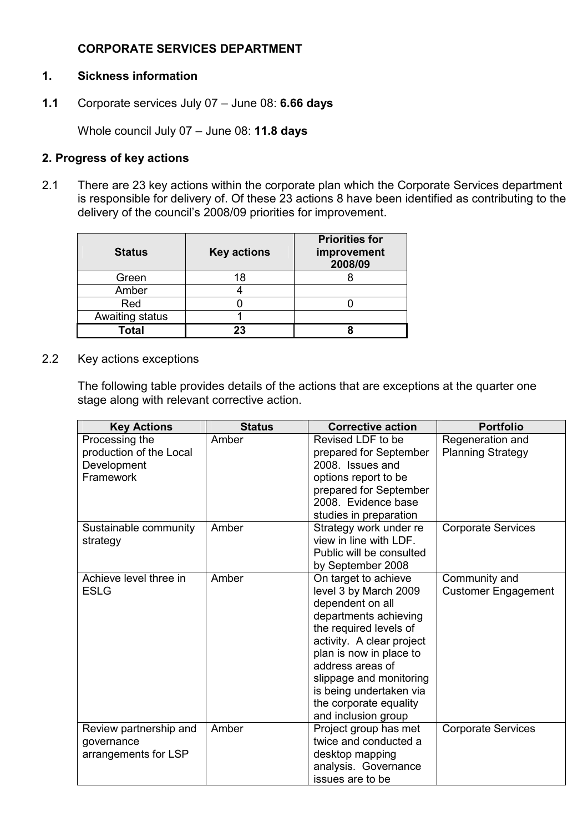# CORPORATE SERVICES DEPARTMENT

#### 1. Sickness information

1.1 Corporate services July 07 – June 08: 6.66 days

Whole council July 07 - June 08: 11.8 days

#### 2. Progress of key actions

2.1 There are 23 key actions within the corporate plan which the Corporate Services department is responsible for delivery of. Of these 23 actions 8 have been identified as contributing to the delivery of the council's 2008/09 priorities for improvement.

| <b>Status</b>   | <b>Key actions</b> | <b>Priorities for</b><br>improvement<br>2008/09 |
|-----------------|--------------------|-------------------------------------------------|
| Green           | 18                 |                                                 |
| Amber           |                    |                                                 |
| Red             |                    |                                                 |
| Awaiting status |                    |                                                 |
| Total           | 23                 |                                                 |

2.2 Key actions exceptions

The following table provides details of the actions that are exceptions at the quarter one stage along with relevant corrective action.

| <b>Key Actions</b>      | <b>Status</b> | <b>Corrective action</b>                           | <b>Portfolio</b>           |
|-------------------------|---------------|----------------------------------------------------|----------------------------|
| Processing the          | Amber         | Revised LDF to be                                  | Regeneration and           |
| production of the Local |               | prepared for September                             | <b>Planning Strategy</b>   |
| Development             |               | 2008. Issues and                                   |                            |
| Framework               |               | options report to be                               |                            |
|                         |               | prepared for September                             |                            |
|                         |               | 2008. Evidence base                                |                            |
|                         |               | studies in preparation                             |                            |
| Sustainable community   | Amber         | Strategy work under re                             | <b>Corporate Services</b>  |
| strategy                |               | view in line with LDF.                             |                            |
|                         |               | Public will be consulted                           |                            |
|                         |               | by September 2008                                  |                            |
| Achieve level three in  | Amber         | On target to achieve                               | Community and              |
| <b>ESLG</b>             |               | level 3 by March 2009                              | <b>Customer Engagement</b> |
|                         |               | dependent on all                                   |                            |
|                         |               | departments achieving                              |                            |
|                         |               | the required levels of                             |                            |
|                         |               | activity. A clear project                          |                            |
|                         |               | plan is now in place to<br>address areas of        |                            |
|                         |               |                                                    |                            |
|                         |               | slippage and monitoring<br>is being undertaken via |                            |
|                         |               | the corporate equality                             |                            |
|                         |               | and inclusion group                                |                            |
| Review partnership and  | Amber         | Project group has met                              | <b>Corporate Services</b>  |
| governance              |               | twice and conducted a                              |                            |
| arrangements for LSP    |               | desktop mapping                                    |                            |
|                         |               | analysis. Governance                               |                            |
|                         |               | issues are to be                                   |                            |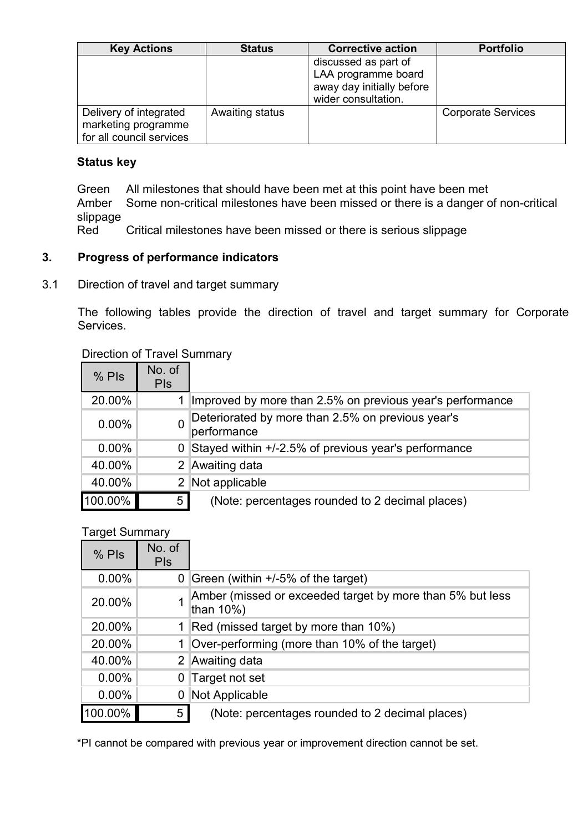| <b>Key Actions</b>                                                        | <b>Status</b>   | <b>Corrective action</b>                                                                        | <b>Portfolio</b>          |
|---------------------------------------------------------------------------|-----------------|-------------------------------------------------------------------------------------------------|---------------------------|
|                                                                           |                 | discussed as part of<br>LAA programme board<br>away day initially before<br>wider consultation. |                           |
| Delivery of integrated<br>marketing programme<br>for all council services | Awaiting status |                                                                                                 | <b>Corporate Services</b> |

Green All milestones that should have been met at this point have been met

 Amber Some non-critical milestones have been missed or there is a danger of non-critical slippage<br>Red

Critical milestones have been missed or there is serious slippage

# 3. Progress of performance indicators

3.1 Direction of travel and target summary

 The following tables provide the direction of travel and target summary for Corporate Services.

## Direction of Travel Summary

| $%$ Pls  | No. of<br><b>PIs</b> |                                                                  |
|----------|----------------------|------------------------------------------------------------------|
| 20.00%   |                      | Improved by more than 2.5% on previous year's performance        |
| $0.00\%$ | 0                    | Deteriorated by more than 2.5% on previous year's<br>performance |
| $0.00\%$ | 0                    | Stayed within +/-2.5% of previous year's performance             |
| 40.00%   | 2 <sup>1</sup>       | Awaiting data                                                    |
| 40.00%   | 2                    | Not applicable                                                   |
| 100.00%  | 5                    | (Note: percentages rounded to 2 decimal places)                  |

#### Target Summary

| $%$ Pls  | No. of<br><b>PIs</b> |                                                                        |
|----------|----------------------|------------------------------------------------------------------------|
| $0.00\%$ | 0 <sup>1</sup>       | Green (within +/-5% of the target)                                     |
| 20.00%   |                      | Amber (missed or exceeded target by more than 5% but less<br>than 10%) |
| 20.00%   |                      | Red (missed target by more than 10%)                                   |
| 20.00%   |                      | Over-performing (more than 10% of the target)                          |
| 40.00%   |                      | 2 Awaiting data                                                        |
| $0.00\%$ |                      | 0 Target not set                                                       |
| $0.00\%$ |                      | Not Applicable                                                         |
| 100.00%  | 5                    | (Note: percentages rounded to 2 decimal places)                        |

\*PI cannot be compared with previous year or improvement direction cannot be set.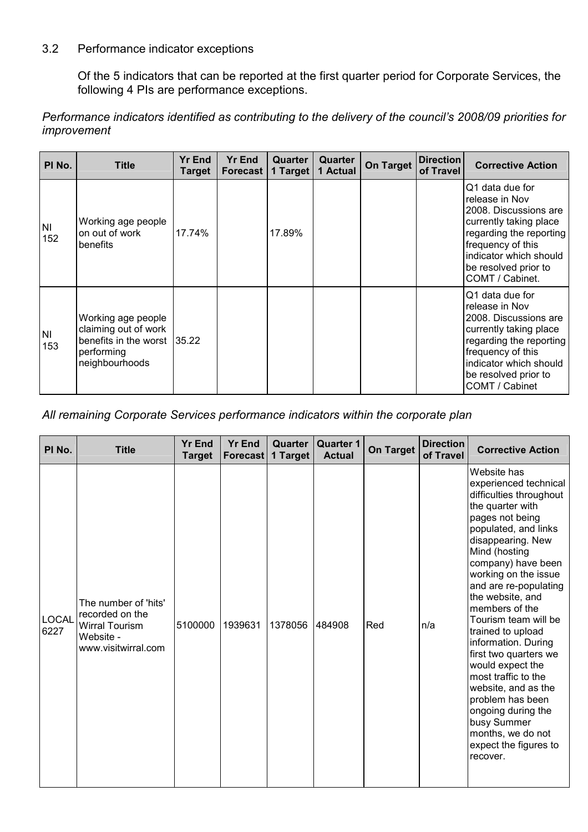#### 3.2 Performance indicator exceptions

Of the 5 indicators that can be reported at the first quarter period for Corporate Services, the following 4 PIs are performance exceptions.

Performance indicators identified as contributing to the delivery of the council's 2008/09 priorities for improvement

| PI No.           | Title                                                                                               | <b>Yr End</b><br>Target | <b>Yr End</b><br><b>Forecast</b> | Quarter<br>1 Target | Quarter<br>1 Actual | <b>On Target</b> | <b>Direction</b><br>of Travel | <b>Corrective Action</b>                                                                                                                                                                                  |
|------------------|-----------------------------------------------------------------------------------------------------|-------------------------|----------------------------------|---------------------|---------------------|------------------|-------------------------------|-----------------------------------------------------------------------------------------------------------------------------------------------------------------------------------------------------------|
| <b>NI</b><br>152 | Working age people<br>on out of work<br>benefits                                                    | 17.74%                  |                                  | 17.89%              |                     |                  |                               | Q1 data due for<br>release in Nov<br>2008. Discussions are<br>currently taking place<br>regarding the reporting<br>frequency of this<br>indicator which should<br>be resolved prior to<br>COMT / Cabinet. |
| <b>NI</b><br>153 | Working age people<br>claiming out of work<br>benefits in the worst<br>performing<br>neighbourhoods | 135.22                  |                                  |                     |                     |                  |                               | Q1 data due for<br>release in Nov<br>2008. Discussions are<br>currently taking place<br>regarding the reporting<br>frequency of this<br>indicator which should<br>be resolved prior to<br>COMT / Cabinet  |

All remaining Corporate Services performance indicators within the corporate plan

| PI No.               | <b>Title</b>                                                                                         | <b>Yr End</b><br><b>Target</b> | <b>Yr End</b><br><b>Forecast</b> | Quarter<br>1 Target | <b>Quarter 1</b><br><b>Actual</b> | <b>On Target</b> | <b>Direction</b><br>of Travel | <b>Corrective Action</b>                                                                                                                                                                                                                                                                                                                                                                                                                                                                                                                                            |
|----------------------|------------------------------------------------------------------------------------------------------|--------------------------------|----------------------------------|---------------------|-----------------------------------|------------------|-------------------------------|---------------------------------------------------------------------------------------------------------------------------------------------------------------------------------------------------------------------------------------------------------------------------------------------------------------------------------------------------------------------------------------------------------------------------------------------------------------------------------------------------------------------------------------------------------------------|
| <b>LOCAL</b><br>6227 | The number of 'hits'<br>recorded on the<br><b>Wirral Tourism</b><br>Website -<br>www.visitwirral.com | 5100000                        | 1939631                          | 1378056             | 484908                            | Red              | n/a                           | Website has<br>experienced technical<br>difficulties throughout<br>the quarter with<br>pages not being<br>populated, and links<br>disappearing. New<br>Mind (hosting<br>company) have been<br>working on the issue<br>and are re-populating<br>the website, and<br>members of the<br>Tourism team will be<br>trained to upload<br>information. During<br>first two quarters we<br>would expect the<br>most traffic to the<br>website, and as the<br>problem has been<br>ongoing during the<br>busy Summer<br>months, we do not<br>expect the figures to<br>recover. |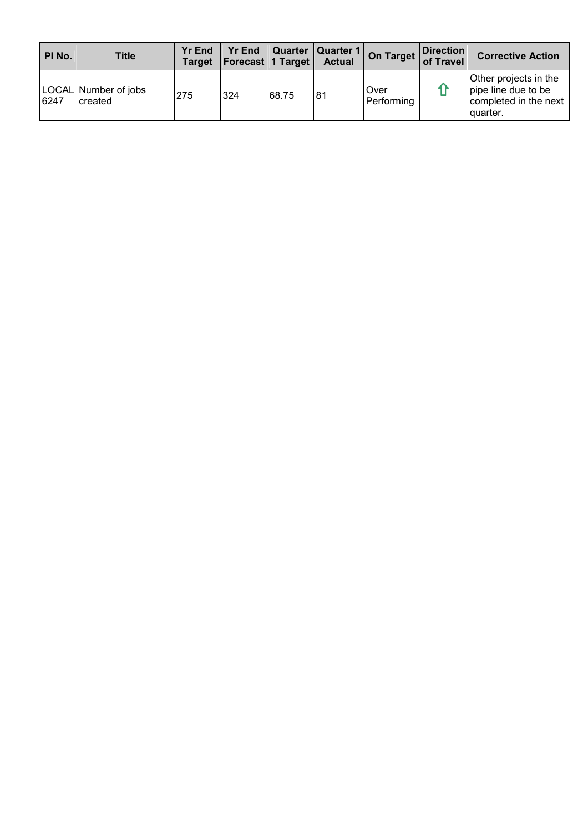| PI No. | <b>Title</b>                    | <b>Yr End</b><br>Target | <b>Yr End</b><br>  Forecast   1 Target |       | Quarter   Quarter 1  <br><b>Actual</b> | On Target of Travel       | Direction | <b>Corrective Action</b>                                                            |
|--------|---------------------------------|-------------------------|----------------------------------------|-------|----------------------------------------|---------------------------|-----------|-------------------------------------------------------------------------------------|
| 6247   | LOCAL Number of jobs<br>created | 275                     | 324                                    | 68.75 | 181                                    | <b>Over</b><br>Performing |           | Other projects in the<br>pipe line due to be<br>completed in the next<br>l quarter. |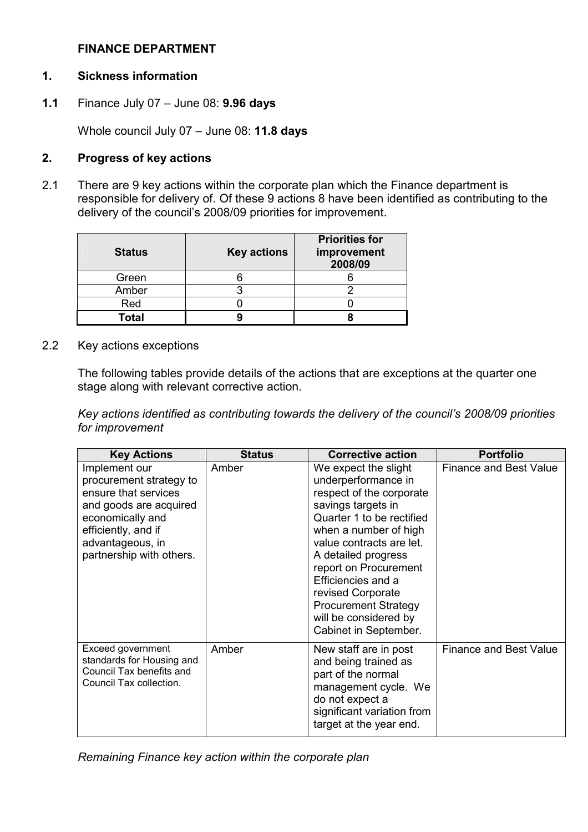#### FINANCE DEPARTMENT

## 1. Sickness information

1.1 Finance July 07 – June 08: 9.96 days

Whole council July 07 - June 08: 11.8 days

## 2. Progress of key actions

2.1 There are 9 key actions within the corporate plan which the Finance department is responsible for delivery of. Of these 9 actions 8 have been identified as contributing to the delivery of the council's 2008/09 priorities for improvement.

| <b>Status</b> | <b>Key actions</b> | <b>Priorities for</b><br>improvement<br>2008/09 |
|---------------|--------------------|-------------------------------------------------|
| Green         |                    |                                                 |
| Amber         |                    |                                                 |
| Red           |                    |                                                 |
| Total         |                    |                                                 |

2.2 Key actions exceptions

The following tables provide details of the actions that are exceptions at the quarter one stage along with relevant corrective action.

Key actions identified as contributing towards the delivery of the council's 2008/09 priorities for improvement

| <b>Key Actions</b>                                                                                                                                                                    | <b>Status</b> | <b>Corrective action</b>                                                                                                                                                                                                                                                                                                                                    | <b>Portfolio</b>              |
|---------------------------------------------------------------------------------------------------------------------------------------------------------------------------------------|---------------|-------------------------------------------------------------------------------------------------------------------------------------------------------------------------------------------------------------------------------------------------------------------------------------------------------------------------------------------------------------|-------------------------------|
| Implement our<br>procurement strategy to<br>ensure that services<br>and goods are acquired<br>economically and<br>efficiently, and if<br>advantageous, in<br>partnership with others. | Amber         | We expect the slight<br>underperformance in<br>respect of the corporate<br>savings targets in<br>Quarter 1 to be rectified<br>when a number of high<br>value contracts are let.<br>A detailed progress<br>report on Procurement<br>Efficiencies and a<br>revised Corporate<br><b>Procurement Strategy</b><br>will be considered by<br>Cabinet in September. | <b>Finance and Best Value</b> |
| Exceed government<br>standards for Housing and<br>Council Tax benefits and<br>Council Tax collection.                                                                                 | Amber         | New staff are in post<br>and being trained as<br>part of the normal<br>management cycle. We<br>do not expect a<br>significant variation from<br>target at the year end.                                                                                                                                                                                     | <b>Finance and Best Value</b> |

Remaining Finance key action within the corporate plan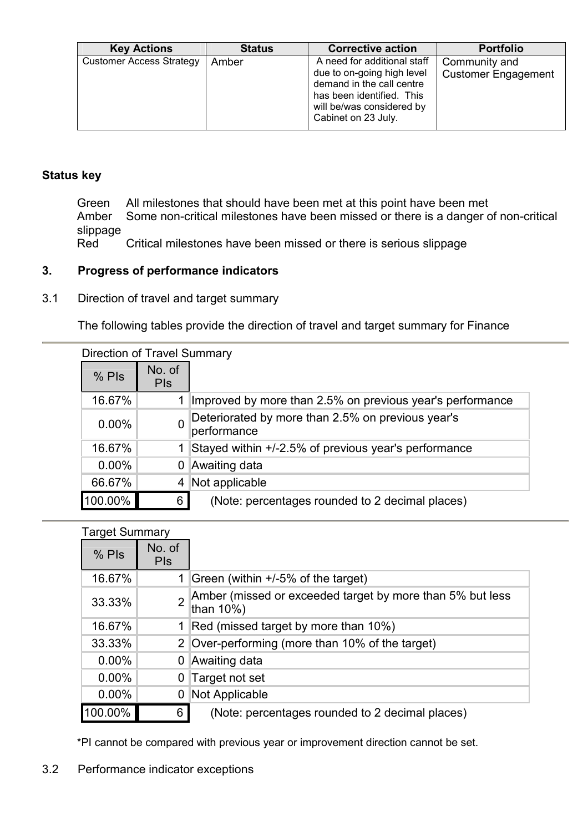| <b>Key Actions</b>              | <b>Status</b> | <b>Corrective action</b>                                                                                                                                                | <b>Portfolio</b>                            |
|---------------------------------|---------------|-------------------------------------------------------------------------------------------------------------------------------------------------------------------------|---------------------------------------------|
| <b>Customer Access Strategy</b> | Amber         | A need for additional staff<br>due to on-going high level<br>demand in the call centre<br>has been identified. This<br>will be/was considered by<br>Cabinet on 23 July. | Community and<br><b>Customer Engagement</b> |

 Green All milestones that should have been met at this point have been met Amber Some non-critical milestones have been missed or there is a danger of non-critical slippage<br>Red

Critical milestones have been missed or there is serious slippage

# 3. Progress of performance indicators

3.1 Direction of travel and target summary

The following tables provide the direction of travel and target summary for Finance

| Direction of Travel Summary |                      |                                                                  |  |  |  |  |  |  |
|-----------------------------|----------------------|------------------------------------------------------------------|--|--|--|--|--|--|
| $%$ Pls                     | No. of<br><b>PIS</b> |                                                                  |  |  |  |  |  |  |
| 16.67%                      | 1                    | Improved by more than 2.5% on previous year's performance        |  |  |  |  |  |  |
| $0.00\%$                    | 0                    | Deteriorated by more than 2.5% on previous year's<br>performance |  |  |  |  |  |  |
| 16.67%                      |                      | Stayed within +/-2.5% of previous year's performance             |  |  |  |  |  |  |
| $0.00\%$                    | 0                    | Awaiting data                                                    |  |  |  |  |  |  |
| 66.67%                      | 4                    | Not applicable                                                   |  |  |  |  |  |  |
| 100.00%                     | 6                    | (Note: percentages rounded to 2 decimal places)                  |  |  |  |  |  |  |

| <b>Target Summary</b> |                      |                                                                        |
|-----------------------|----------------------|------------------------------------------------------------------------|
| $%$ Pls               | No. of<br><b>PIS</b> |                                                                        |
| 16.67%                | 1.                   | Green (within +/-5% of the target)                                     |
| 33.33%                | $\overline{2}$       | Amber (missed or exceeded target by more than 5% but less<br>than 10%) |
| 16.67%                | 1.                   | Red (missed target by more than 10%)                                   |
| 33.33%                | 2 <sup>1</sup>       | Over-performing (more than 10% of the target)                          |
| $0.00\%$              | 0                    | Awaiting data                                                          |
| $0.00\%$              | 0                    | Target not set                                                         |
| $0.00\%$              | 0                    | Not Applicable                                                         |
| 100.00%               | 6                    | (Note: percentages rounded to 2 decimal places)                        |

\*PI cannot be compared with previous year or improvement direction cannot be set.

# 3.2 Performance indicator exceptions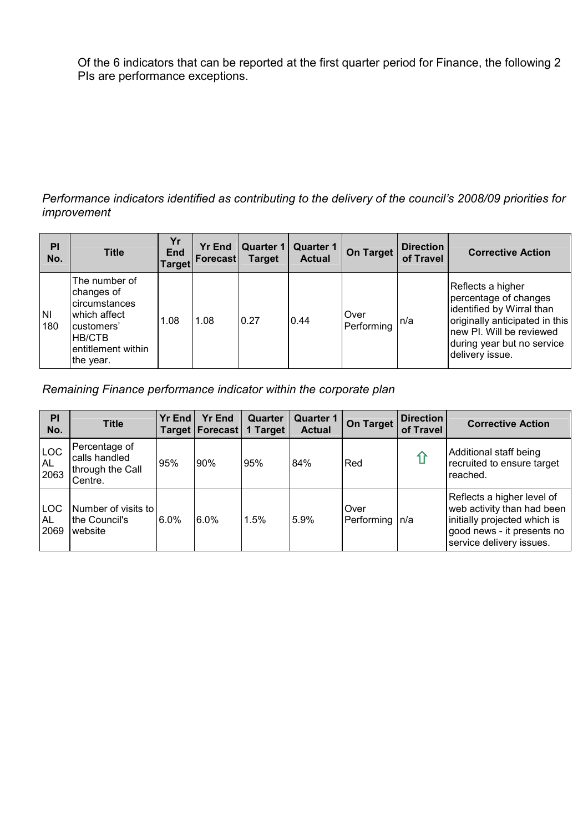Of the 6 indicators that can be reported at the first quarter period for Finance, the following 2 PIs are performance exceptions.

#### Performance indicators identified as contributing to the delivery of the council's 2008/09 priorities for improvement

| PI<br>No.        | <b>Title</b>                                                                                                            | Yr<br><b>End</b><br><b>Target</b> | <b>Yr End</b><br>Forecast | Quarter 1<br><b>Target</b> | <b>Quarter 1</b><br><b>Actual</b> | On Target          | <b>Direction</b><br>of Travel | <b>Corrective Action</b>                                                                                                                                                               |
|------------------|-------------------------------------------------------------------------------------------------------------------------|-----------------------------------|---------------------------|----------------------------|-----------------------------------|--------------------|-------------------------------|----------------------------------------------------------------------------------------------------------------------------------------------------------------------------------------|
| <b>NI</b><br>180 | The number of<br>changes of<br>circumstances<br>which affect<br>customers'<br>HB/CTB<br>entitlement within<br>the year. | 1.08                              | 1.08                      | 0.27                       | 0.44                              | Over<br>Performing | n/a                           | Reflects a higher<br>percentage of changes<br>identified by Wirral than<br>originally anticipated in this<br>new PI. Will be reviewed<br>during year but no service<br>delivery issue. |

Remaining Finance performance indicator within the corporate plan

| PI<br>No.                       | <b>Title</b>                                                  | Yr End  | <b>Yr End</b><br>Target   Forecast | Quarter<br>1 Target | <b>Quarter 1</b><br><b>Actual</b> | On Target          | <b>Direction</b><br>of Travel | <b>Corrective Action</b>                                                                                                                           |
|---------------------------------|---------------------------------------------------------------|---------|------------------------------------|---------------------|-----------------------------------|--------------------|-------------------------------|----------------------------------------------------------------------------------------------------------------------------------------------------|
| <b>LOC</b><br>AL<br>2063        | Percentage of<br>calls handled<br>through the Call<br>Centre. | 95%     | 90%                                | 95%                 | 84%                               | Red                |                               | Additional staff being<br>recruited to ensure target<br>reached.                                                                                   |
| <b>LOC</b><br><b>AL</b><br>2069 | Number of visits to<br>the Council's<br>website               | $6.0\%$ | $6.0\%$                            | 1.5%                | 5.9%                              | Over<br>Performing | In/a                          | Reflects a higher level of<br>web activity than had been<br>initially projected which is<br>good news - it presents no<br>service delivery issues. |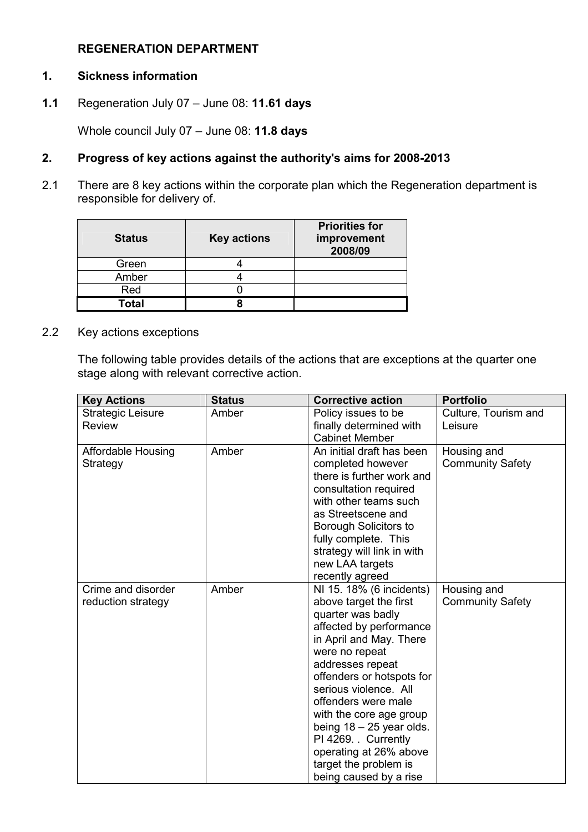#### REGENERATION DEPARTMENT

#### 1. Sickness information

1.1 Regeneration July 07 – June 08: 11.61 days

Whole council July 07 - June 08: 11.8 days

#### 2. Progress of key actions against the authority's aims for 2008-2013

2.1 There are 8 key actions within the corporate plan which the Regeneration department is responsible for delivery of.

| <b>Status</b> | <b>Key actions</b> | <b>Priorities for</b><br>improvement<br>2008/09 |
|---------------|--------------------|-------------------------------------------------|
| Green         |                    |                                                 |
| Amber         |                    |                                                 |
| Red           |                    |                                                 |
| Total         |                    |                                                 |

2.2 Key actions exceptions

The following table provides details of the actions that are exceptions at the quarter one stage along with relevant corrective action.

| <b>Key Actions</b>        | <b>Status</b> | <b>Corrective action</b>                    | <b>Portfolio</b>        |
|---------------------------|---------------|---------------------------------------------|-------------------------|
| <b>Strategic Leisure</b>  | Amber         | Policy issues to be                         | Culture, Tourism and    |
| <b>Review</b>             |               | finally determined with                     | Leisure                 |
|                           |               | <b>Cabinet Member</b>                       |                         |
| <b>Affordable Housing</b> | Amber         | An initial draft has been                   | Housing and             |
| Strategy                  |               | completed however                           | <b>Community Safety</b> |
|                           |               | there is further work and                   |                         |
|                           |               | consultation required                       |                         |
|                           |               | with other teams such                       |                         |
|                           |               | as Streetscene and                          |                         |
|                           |               | Borough Solicitors to                       |                         |
|                           |               | fully complete. This                        |                         |
|                           |               | strategy will link in with                  |                         |
|                           |               | new LAA targets                             |                         |
|                           |               | recently agreed                             |                         |
| Crime and disorder        | Amber         | NI 15. 18% (6 incidents)                    | Housing and             |
| reduction strategy        |               | above target the first<br>quarter was badly | <b>Community Safety</b> |
|                           |               | affected by performance                     |                         |
|                           |               | in April and May. There                     |                         |
|                           |               | were no repeat                              |                         |
|                           |               | addresses repeat                            |                         |
|                           |               | offenders or hotspots for                   |                         |
|                           |               | serious violence. All                       |                         |
|                           |               | offenders were male                         |                         |
|                           |               | with the core age group                     |                         |
|                           |               | being $18 - 25$ year olds.                  |                         |
|                           |               | PI 4269. Currently                          |                         |
|                           |               | operating at 26% above                      |                         |
|                           |               | target the problem is                       |                         |
|                           |               | being caused by a rise                      |                         |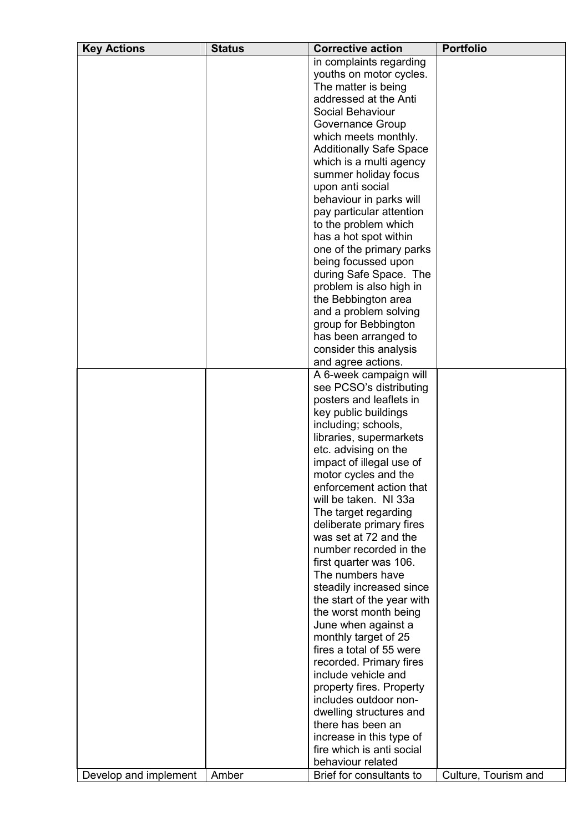| <b>Key Actions</b>    | <b>Status</b> | <b>Corrective action</b>       | <b>Portfolio</b>     |
|-----------------------|---------------|--------------------------------|----------------------|
|                       |               | in complaints regarding        |                      |
|                       |               | youths on motor cycles.        |                      |
|                       |               | The matter is being            |                      |
|                       |               | addressed at the Anti          |                      |
|                       |               | Social Behaviour               |                      |
|                       |               | Governance Group               |                      |
|                       |               | which meets monthly.           |                      |
|                       |               | <b>Additionally Safe Space</b> |                      |
|                       |               | which is a multi agency        |                      |
|                       |               | summer holiday focus           |                      |
|                       |               | upon anti social               |                      |
|                       |               | behaviour in parks will        |                      |
|                       |               | pay particular attention       |                      |
|                       |               | to the problem which           |                      |
|                       |               | has a hot spot within          |                      |
|                       |               | one of the primary parks       |                      |
|                       |               | being focussed upon            |                      |
|                       |               | during Safe Space. The         |                      |
|                       |               | problem is also high in        |                      |
|                       |               | the Bebbington area            |                      |
|                       |               | and a problem solving          |                      |
|                       |               | group for Bebbington           |                      |
|                       |               | has been arranged to           |                      |
|                       |               | consider this analysis         |                      |
|                       |               | and agree actions.             |                      |
|                       |               | A 6-week campaign will         |                      |
|                       |               | see PCSO's distributing        |                      |
|                       |               | posters and leaflets in        |                      |
|                       |               | key public buildings           |                      |
|                       |               | including; schools,            |                      |
|                       |               | libraries, supermarkets        |                      |
|                       |               | etc. advising on the           |                      |
|                       |               | impact of illegal use of       |                      |
|                       |               | motor cycles and the           |                      |
|                       |               | enforcement action that        |                      |
|                       |               | will be taken. NI 33a          |                      |
|                       |               | The target regarding           |                      |
|                       |               | deliberate primary fires       |                      |
|                       |               | was set at 72 and the          |                      |
|                       |               | number recorded in the         |                      |
|                       |               | first quarter was 106.         |                      |
|                       |               | The numbers have               |                      |
|                       |               | steadily increased since       |                      |
|                       |               | the start of the year with     |                      |
|                       |               | the worst month being          |                      |
|                       |               | June when against a            |                      |
|                       |               | monthly target of 25           |                      |
|                       |               | fires a total of 55 were       |                      |
|                       |               | recorded. Primary fires        |                      |
|                       |               | include vehicle and            |                      |
|                       |               | property fires. Property       |                      |
|                       |               | includes outdoor non-          |                      |
|                       |               | dwelling structures and        |                      |
|                       |               | there has been an              |                      |
|                       |               | increase in this type of       |                      |
|                       |               | fire which is anti social      |                      |
|                       |               | behaviour related              |                      |
| Develop and implement | Amber         | Brief for consultants to       | Culture, Tourism and |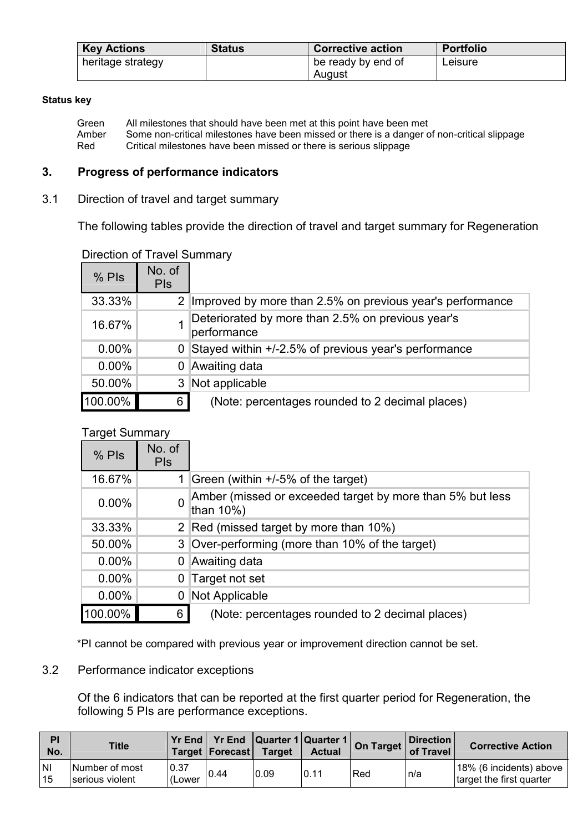| <b>Key Actions</b> | <b>Status</b> | <b>Corrective action</b> | <b>Portfolio</b> |
|--------------------|---------------|--------------------------|------------------|
| heritage strategy  |               | be ready by end of       | Leisure          |
|                    |               | August                   |                  |

Green All milestones that should have been met at this point have been met<br>Amber Some non-critical milestones have been missed or there is a danger of Amber Some non-critical milestones have been missed or there is a danger of non-critical slippage<br>Red Critical milestones have been missed or there is serious slippage Critical milestones have been missed or there is serious slippage

#### 3. Progress of performance indicators

#### 3.1 Direction of travel and target summary

The following tables provide the direction of travel and target summary for Regeneration

| $%$ Pls  | No. of<br><b>PIs</b> |                                                                  |
|----------|----------------------|------------------------------------------------------------------|
| 33.33%   | $\overline{2}$       | Improved by more than 2.5% on previous year's performance        |
| 16.67%   |                      | Deteriorated by more than 2.5% on previous year's<br>performance |
| $0.00\%$ | 0                    | Stayed within +/-2.5% of previous year's performance             |
| $0.00\%$ | 0                    | Awaiting data                                                    |
| 50.00%   | 3                    | Not applicable                                                   |
| 100.00%  | 6                    | (Note: percentages rounded to 2 decimal places)                  |

#### Direction of Travel Summary

#### Target Summary

| $%$ Pls  | No. of<br><b>PIs</b> |                                                                        |
|----------|----------------------|------------------------------------------------------------------------|
| 16.67%   |                      | Green (within +/-5% of the target)                                     |
| $0.00\%$ | <sup>0</sup>         | Amber (missed or exceeded target by more than 5% but less<br>than 10%) |
| 33.33%   | 2 <sup>1</sup>       | Red (missed target by more than 10%)                                   |
| 50.00%   | 3 <sup>1</sup>       | Over-performing (more than 10% of the target)                          |
| $0.00\%$ | 0                    | Awaiting data                                                          |
| $0.00\%$ |                      | 0 Target not set                                                       |
| $0.00\%$ | 0                    | Not Applicable                                                         |
| 100.00%  | 6                    | (Note: percentages rounded to 2 decimal places)                        |

\*PI cannot be compared with previous year or improvement direction cannot be set.

#### 3.2 Performance indicator exceptions

Of the 6 indicators that can be reported at the first quarter period for Regeneration, the following 5 PIs are performance exceptions.

| PI<br>No.        | <b>Title</b>                      |                 | Target Forecast Target |      | <b>Actual</b> | <b>The Tena Privation Privation of Privation Privation Privation Privation Privation Privation Privation Privation Privation Privation Privation Privation Privation Privation Privation Privation Privation Privation Privation</b> | Direction<br>of Travel | <b>Corrective Action</b>                            |
|------------------|-----------------------------------|-----------------|------------------------|------|---------------|--------------------------------------------------------------------------------------------------------------------------------------------------------------------------------------------------------------------------------------|------------------------|-----------------------------------------------------|
| <b>NI</b><br> 15 | Number of most<br>serious violent | 10.37<br>(Lower | 0.44                   | 0.09 | 0.11          | Red                                                                                                                                                                                                                                  | n/a                    | 18% (6 incidents) above<br>target the first quarter |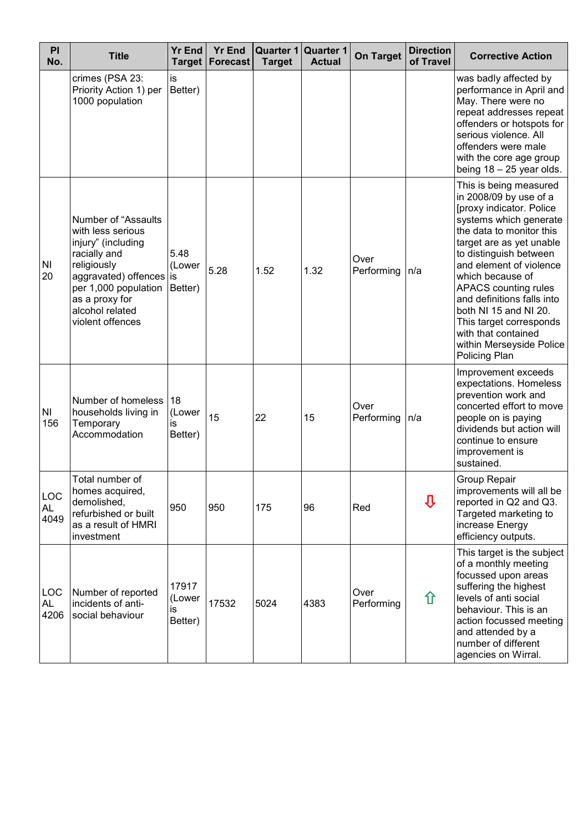| PI<br>No.                | <b>Title</b>                                                                                                                                                                                                     | <b>Yr End</b><br><b>Target</b>   | <b>Yr End</b><br>Forecast | Quarter 1 Quarter 1<br><b>Target</b> | <b>Actual</b> | <b>On Target</b>   | <b>Direction</b><br>of Travel | <b>Corrective Action</b>                                                                                                                                                                                                                                                                                                                                                                                              |
|--------------------------|------------------------------------------------------------------------------------------------------------------------------------------------------------------------------------------------------------------|----------------------------------|---------------------------|--------------------------------------|---------------|--------------------|-------------------------------|-----------------------------------------------------------------------------------------------------------------------------------------------------------------------------------------------------------------------------------------------------------------------------------------------------------------------------------------------------------------------------------------------------------------------|
|                          | crimes (PSA 23:<br>Priority Action 1) per<br>1000 population                                                                                                                                                     | is<br>Better)                    |                           |                                      |               |                    |                               | was badly affected by<br>performance in April and<br>May. There were no<br>repeat addresses repeat<br>offenders or hotspots for<br>serious violence. All<br>offenders were male<br>with the core age group<br>being $18 - 25$ year olds.                                                                                                                                                                              |
| <b>NI</b><br>20          | <b>Number of "Assaults</b><br>with less serious<br>injury" (including<br>racially and<br>religiously<br>aggravated) offences is<br>per 1,000 population<br>as a proxy for<br>alcohol related<br>violent offences | 5.48<br>(Lower<br>Better)        | 5.28                      | 1.52                                 | 1.32          | Over<br>Performing | n/a                           | This is being measured<br>in 2008/09 by use of a<br>[proxy indicator. Police<br>systems which generate<br>the data to monitor this<br>target are as yet unable<br>to distinguish between<br>and element of violence<br>which because of<br>APACS counting rules<br>and definitions falls into<br>both NI 15 and NI 20.<br>This target corresponds<br>with that contained<br>within Merseyside Police<br>Policing Plan |
| ΝI<br>156                | Number of homeless<br>households living in<br>Temporary<br>Accommodation                                                                                                                                         | 18<br>(Lower<br>is<br>Better)    | 15                        | 22                                   | 15            | Over<br>Performing | n/a                           | Improvement exceeds<br>expectations. Homeless<br>prevention work and<br>concerted effort to move<br>people on is paying<br>dividends but action will<br>continue to ensure<br>improvement is<br>sustained.                                                                                                                                                                                                            |
| LOC<br><b>AL</b><br>4049 | Total number of<br>homes acquired,<br>demolished,<br>refurbished or built<br>as a result of HMRI<br>investment                                                                                                   | 950                              | 950                       | 175                                  | 96            | Red                | ⇩                             | Group Repair<br>improvements will all be<br>reported in Q2 and Q3.<br>Targeted marketing to<br>increase Energy<br>efficiency outputs.                                                                                                                                                                                                                                                                                 |
| LOC<br>AL<br>4206        | Number of reported<br>incidents of anti-<br>social behaviour                                                                                                                                                     | 17917<br>(Lower<br>is<br>Better) | 17532                     | 5024                                 | 4383          | Over<br>Performing | ⇧                             | This target is the subject<br>of a monthly meeting<br>focussed upon areas<br>suffering the highest<br>levels of anti social<br>behaviour. This is an<br>action focussed meeting<br>and attended by a<br>number of different<br>agencies on Wirral.                                                                                                                                                                    |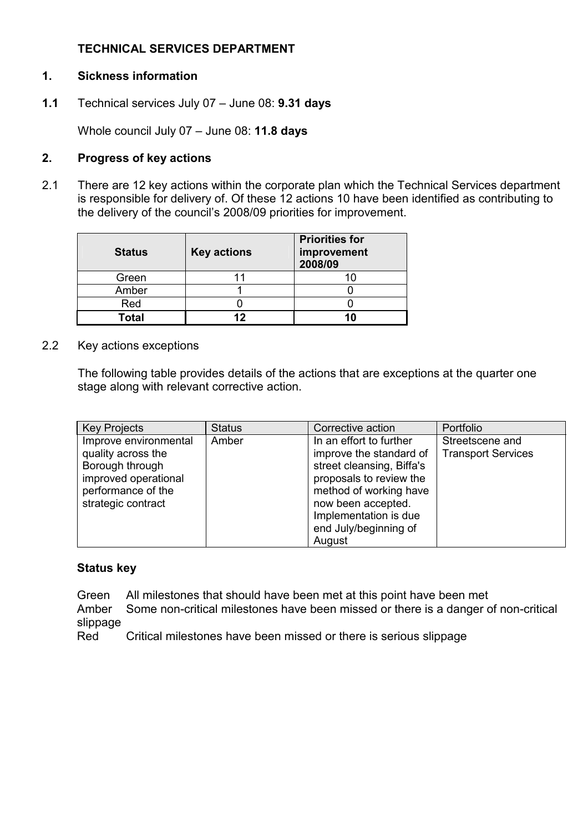# TECHNICAL SERVICES DEPARTMENT

## 1. Sickness information

1.1 Technical services July 07 – June 08: 9.31 days

Whole council July 07 - June 08: 11.8 days

## 2. Progress of key actions

2.1 There are 12 key actions within the corporate plan which the Technical Services department is responsible for delivery of. Of these 12 actions 10 have been identified as contributing to the delivery of the council's 2008/09 priorities for improvement.

| <b>Status</b> | <b>Key actions</b> | <b>Priorities for</b><br>improvement<br>2008/09 |
|---------------|--------------------|-------------------------------------------------|
| Green         |                    |                                                 |
| Amber         |                    |                                                 |
| Red           |                    |                                                 |
| Total         | 19                 | 10                                              |

2.2 Key actions exceptions

The following table provides details of the actions that are exceptions at the quarter one stage along with relevant corrective action.

| <b>Key Projects</b>                                                                    | <b>Status</b> | Corrective action                                                                                          | Portfolio                                    |
|----------------------------------------------------------------------------------------|---------------|------------------------------------------------------------------------------------------------------------|----------------------------------------------|
| Improve environmental<br>quality across the<br>Borough through<br>improved operational | Amber         | In an effort to further<br>improve the standard of<br>street cleansing, Biffa's<br>proposals to review the | Streetscene and<br><b>Transport Services</b> |
| performance of the<br>strategic contract                                               |               | method of working have<br>now been accepted.<br>Implementation is due<br>end July/beginning of<br>August   |                                              |

#### Status key

Green All milestones that should have been met at this point have been met

 Amber Some non-critical milestones have been missed or there is a danger of non-critical slippage

Red Critical milestones have been missed or there is serious slippage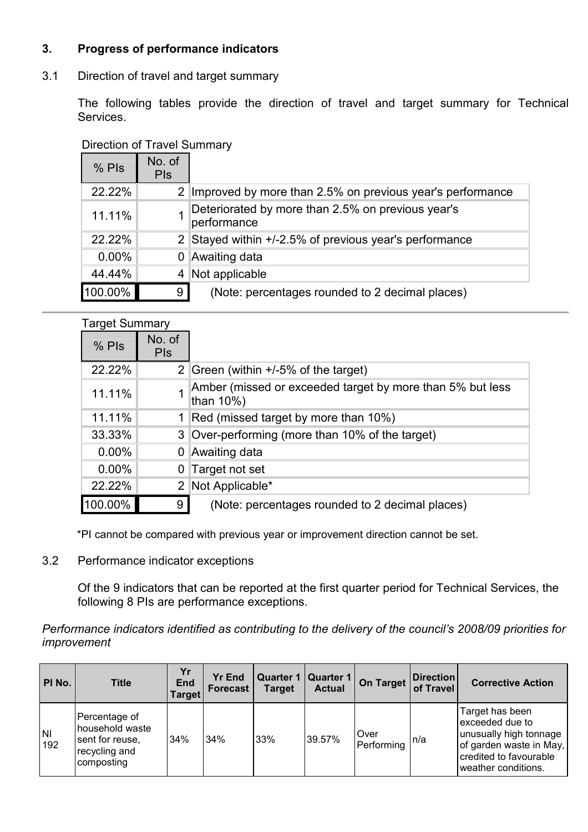# 3. Progress of performance indicators

3.1 Direction of travel and target summary

 The following tables provide the direction of travel and target summary for Technical Services.

| $%$ Pls  | No. of<br><b>PIS</b> |                                                                  |
|----------|----------------------|------------------------------------------------------------------|
| 22.22%   | 2 <sup>1</sup>       | Improved by more than 2.5% on previous year's performance        |
| 11.11%   |                      | Deteriorated by more than 2.5% on previous year's<br>performance |
| 22.22%   | 2 <sup>1</sup>       | Stayed within +/-2.5% of previous year's performance             |
| $0.00\%$ | 0                    | Awaiting data                                                    |
| 44.44%   | 4                    | Not applicable                                                   |
| 100.00%  | 9                    | (Note: percentages rounded to 2 decimal places)                  |

# Direction of Travel Summary

| <b>Target Summary</b> |                           |                                                                        |
|-----------------------|---------------------------|------------------------------------------------------------------------|
| $%$ Pls               | No. of<br><b>PIS</b>      |                                                                        |
| 22.22%                |                           | 2 Green (within +/-5% of the target)                                   |
| 11.11%                |                           | Amber (missed or exceeded target by more than 5% but less<br>than 10%) |
| 11.11%                |                           | Red (missed target by more than 10%)                                   |
| 33.33%                | 3 <sup>1</sup>            | Over-performing (more than 10% of the target)                          |
| $0.00\%$              |                           | Awaiting data                                                          |
| $0.00\%$              |                           | 0 Target not set                                                       |
| 22.22%                | $\mathbf{2}^{\mathsf{I}}$ | Not Applicable*                                                        |
| 100.00%               | 9                         | (Note: percentages rounded to 2 decimal places)                        |

\*PI cannot be compared with previous year or improvement direction cannot be set.

3.2 Performance indicator exceptions

Of the 9 indicators that can be reported at the first quarter period for Technical Services, the following 8 PIs are performance exceptions.

Performance indicators identified as contributing to the delivery of the council's 2008/09 priorities for improvement

| PI No.           | <b>Title</b>                                                                       | Yr<br><b>End</b><br><b>Target</b> | <b>Yr End</b><br><b>Forecast</b> | <b>Target</b> | Quarter 1   Quarter 1<br><b>Actual</b> | On Target                 | <b>Direction</b><br>of Travel | <b>Corrective Action</b>                                                                                                                 |
|------------------|------------------------------------------------------------------------------------|-----------------------------------|----------------------------------|---------------|----------------------------------------|---------------------------|-------------------------------|------------------------------------------------------------------------------------------------------------------------------------------|
| <b>NI</b><br>192 | Percentage of<br>household waste<br>sent for reuse,<br>recycling and<br>composting | 34%                               | 34%                              | 33%           | 39.57%                                 | <b>Over</b><br>Performing | n/a                           | Target has been<br>exceeded due to<br>unusually high tonnage<br>of garden waste in May,<br>credited to favourable<br>weather conditions. |